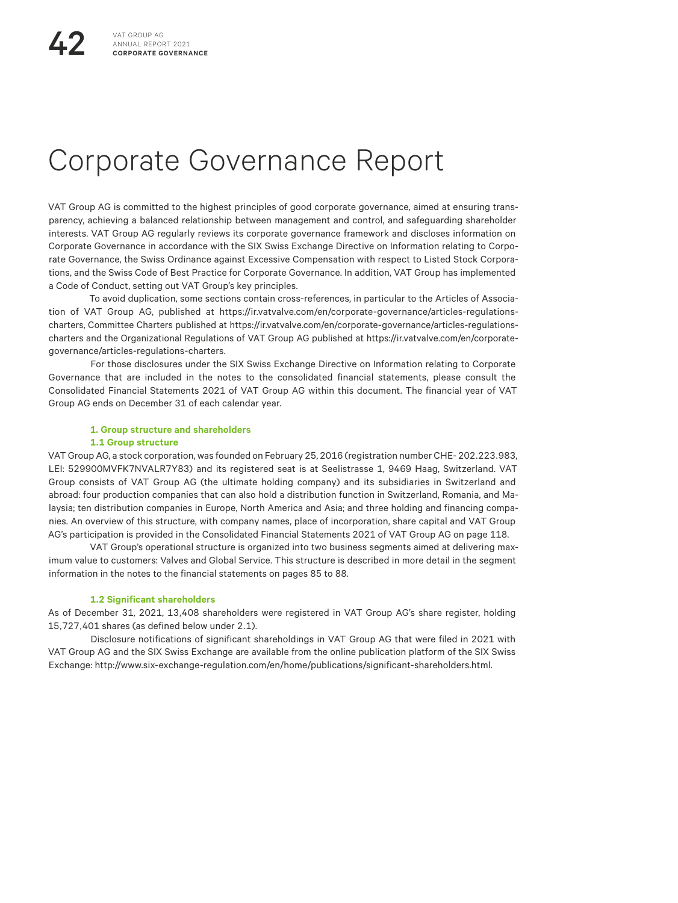# Corporate Governance Report

VAT Group AG is committed to the highest principles of good corporate governance, aimed at ensuring transparency, achieving a balanced relationship between management and control, and safeguarding shareholder interests. VAT Group AG regularly reviews its corporate governance framework and discloses information on Corporate Governance in accordance with the SIX Swiss Exchange Directive on Information relating to Corporate Governance, the Swiss Ordinance against Excessive Compensation with respect to Listed Stock Corporations, and the Swiss Code of Best Practice for Corporate Governance. In addition, VAT Group has implemented a Code of Conduct, setting out VAT Group's key principles.

To avoid duplication, some sections contain cross-references, in particular to the Articles of Association of VAT Group AG, published at [https://ir.vatvalve.com/en/corporate-governance/articles-regulations](https://ir.vatvalve.com/en/corporate-governance/articles-regulations-charters)[charters](https://ir.vatvalve.com/en/corporate-governance/articles-regulations-charters), Committee Charters published at [https://ir.vatvalve.com/en/corporate-governance/articles-regulations](https://ir.vatvalve.com/en/corporate-governance/articles-regulations-charters)[charters a](https://ir.vatvalve.com/en/corporate-governance/articles-regulations-charters)nd the Organizational Regulations of VAT Group AG published at [https://ir.vatvalve.com/en/corporate](https://ir.vatvalve.com/en/corporate-governance/articles-regulations-charters)[governance/articles-regulations-charters.](https://ir.vatvalve.com/en/corporate-governance/articles-regulations-charters)

For those disclosures under the SIX Swiss Exchange Directive on Information relating to Corporate Governance that are included in the notes to the consolidated financial statements, please consult the Consolidated Financial Statements 2021 of VAT Group AG within this document. The financial year of VAT Group AG ends on December 31 of each calendar year.

#### **1. Group structure and shareholders 1.1 Group structure**

VAT Group AG, a stock corporation, was founded on February 25, 2016 (registration number CHE- 202.223.983, LEI: 529900MVFK7NVALR7Y83) and its registered seat is at Seelistrasse 1, 9469 Haag, Switzerland. VAT Group consists of VAT Group AG (the ultimate holding company) and its subsidiaries in Switzerland and abroad: four production companies that can also hold a distribution function in Switzerland, Romania, and Malaysia; ten distribution companies in Europe, North America and Asia; and three holding and financing companies. An overview of this structure, with company names, place of incorporation, share capital and VAT Group AG's participation is provided in the Consolidated Financial Statements 2021 of VAT Group AG on page 118.

VAT Group's operational structure is organized into two business segments aimed at delivering maximum value to customers: Valves and Global Service. This structure is described in more detail in the segment information in the notes to the financial statements on pages 85 to 88.

# **1.2 Significant shareholders**

As of December 31, 2021, 13,408 shareholders were registered in VAT Group AG's share register, holding 15,727,401 shares (as defined below under 2.1).

Disclosure notifications of significant shareholdings in VAT Group AG that were filed in 2021 with VAT Group AG and the SIX Swiss Exchange are available from the online publication platform of the SIX Swiss Exchange:<http://www.six-exchange-regulation.com/en/home/publications/significant-shareholders.html>.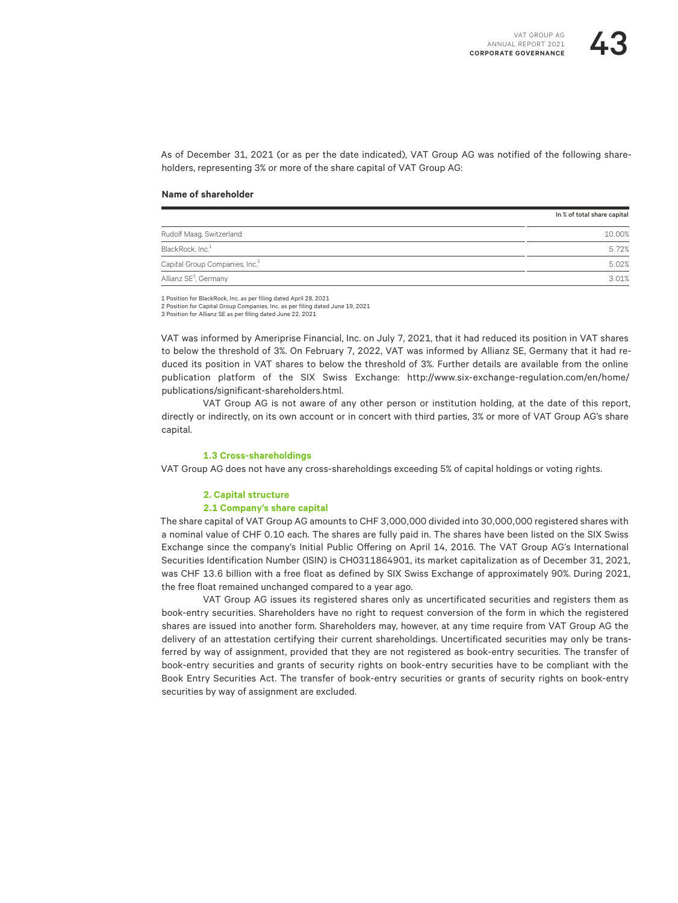As of December 31, 2021 (or as per the date indicated), VAT Group AG was notified of the following shareholders, representing 3% or more of the share capital of VAT Group AG:

#### **Name of shareholder**

|                                            | In % of total share capital |
|--------------------------------------------|-----------------------------|
| Rudolf Maag, Switzerland                   | 10.00%                      |
| BlackRock, Inc. <sup>1</sup>               | 5.72%                       |
| Capital Group Companies, Inc. <sup>2</sup> | 5.02%                       |
| Allianz SE <sup>3</sup> , Germany          | 3.01%                       |

1 Position for BlackRock, Inc. as per filing dated April 28, 2021 2 Position for Capital Group Companies, Inc. as per filing dated June 19, 2021 3 Position for Allianz SE as per filing dated June 22, 2021

VAT was informed by Ameriprise Financial, Inc. on July 7, 2021, that it had reduced its position in VAT shares to below the threshold of 3%. On February 7, 2022, VAT was informed by Allianz SE, Germany that it had reduced its position in VAT shares to below the threshold of 3%. Further details are available from the online publication platform of the SIX Swiss Exchange: [http://www.six-exchange-regulation.com/en/home/](http://www.six-exchange-regulation.com/en/home/publications/significant-shareholders.html) [publications/significant-shareholders.html](http://www.six-exchange-regulation.com/en/home/publications/significant-shareholders.html).

VAT Group AG is not aware of any other person or institution holding, at the date of this report, directly or indirectly, on its own account or in concert with third parties, 3% or more of VAT Group AG's share capital.

## **1.3 Cross-shareholdings**

VAT Group AG does not have any cross-shareholdings exceeding 5% of capital holdings or voting rights.

# **2. Capital structure**

#### **2.1 Company's share capital**

The share capital of VAT Group AG amounts to CHF 3,000,000 divided into 30,000,000 registered shares with a nominal value of CHF 0.10 each. The shares are fully paid in. The shares have been listed on the SIX Swiss Exchange since the company's Initial Public Offering on April 14, 2016. The VAT Group AG's International Securities Identification Number (ISIN) is CH0311864901, its market capitalization as of December 31, 2021, was CHF 13.6 billion with a free float as defined by SIX Swiss Exchange of approximately 90%. During 2021, the free float remained unchanged compared to a year ago.

VAT Group AG issues its registered shares only as uncertificated securities and registers them as book-entry securities. Shareholders have no right to request conversion of the form in which the registered shares are issued into another form. Shareholders may, however, at any time require from VAT Group AG the delivery of an attestation certifying their current shareholdings. Uncertificated securities may only be transferred by way of assignment, provided that they are not registered as book-entry securities. The transfer of book-entry securities and grants of security rights on book-entry securities have to be compliant with the Book Entry Securities Act. The transfer of book-entry securities or grants of security rights on book-entry securities by way of assignment are excluded.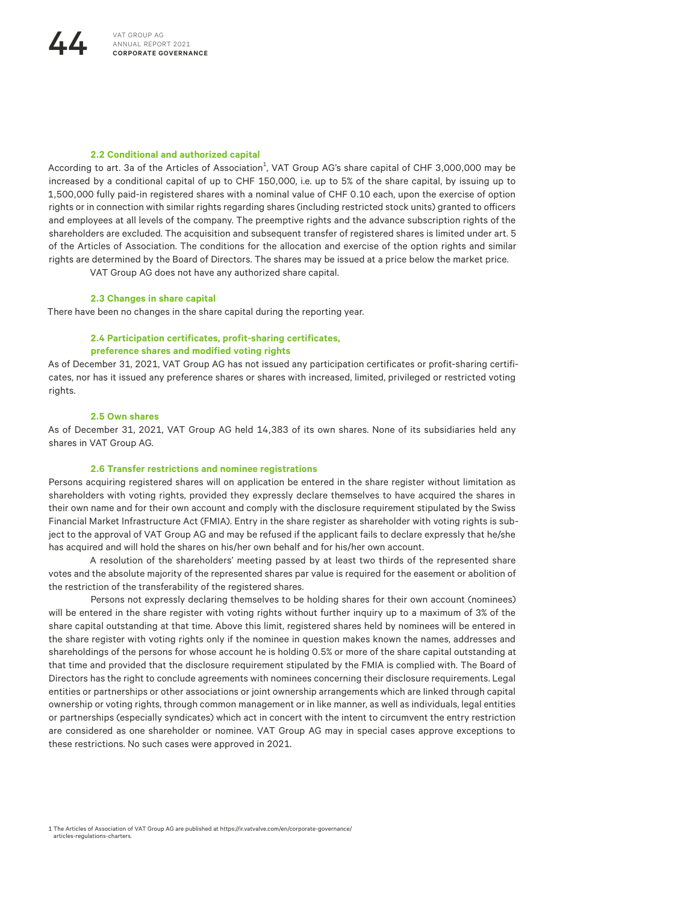**444 VAT GROUP AG ANNUAL REPOR** ANNUAL REPORT 2021 **CORPORATE GOVERNANCE**

#### **2.2 Conditional and authorized capital**

According to art. 3a of the Articles of Association<sup>1</sup>, VAT Group AG's share capital of CHF 3,000,000 may be increased by a conditional capital of up to CHF 150,000, i.e. up to 5% of the share capital, by issuing up to 1,500,000 fully paid-in registered shares with a nominal value of CHF 0.10 each, upon the exercise of option rights or in connection with similar rights regarding shares (including restricted stock units) granted to officers and employees at all levels of the company. The preemptive rights and the advance subscription rights of the shareholders are excluded. The acquisition and subsequent transfer of registered shares is limited under art. 5 of the Articles of Association. The conditions for the allocation and exercise of the option rights and similar rights are determined by the Board of Directors. The shares may be issued at a price below the market price.

VAT Group AG does not have any authorized share capital.

## **2.3 Changes in share capital**

There have been no changes in the share capital during the reporting year.

#### **2.4 Participation certificates, profit-sharing certificates,**

# **preference shares and modified voting rights**

As of December 31, 2021, VAT Group AG has not issued any participation certificates or profit-sharing certificates, nor has it issued any preference shares or shares with increased, limited, privileged or restricted voting rights.

# **2.5 Own shares**

As of December 31, 2021, VAT Group AG held 14,383 of its own shares. None of its subsidiaries held any shares in VAT Group AG.

#### **2.6 Transfer restrictions and nominee registrations**

Persons acquiring registered shares will on application be entered in the share register without limitation as shareholders with voting rights, provided they expressly declare themselves to have acquired the shares in their own name and for their own account and comply with the disclosure requirement stipulated by the Swiss Financial Market Infrastructure Act (FMIA). Entry in the share register as shareholder with voting rights is subject to the approval of VAT Group AG and may be refused if the applicant fails to declare expressly that he/she has acquired and will hold the shares on his/her own behalf and for his/her own account.

A resolution of the shareholders' meeting passed by at least two thirds of the represented share votes and the absolute majority of the represented shares par value is required for the easement or abolition of the restriction of the transferability of the registered shares.

Persons not expressly declaring themselves to be holding shares for their own account (nominees) will be entered in the share register with voting rights without further inquiry up to a maximum of 3% of the share capital outstanding at that time. Above this limit, registered shares held by nominees will be entered in the share register with voting rights only if the nominee in question makes known the names, addresses and shareholdings of the persons for whose account he is holding 0.5% or more of the share capital outstanding at that time and provided that the disclosure requirement stipulated by the FMIA is complied with. The Board of Directors has the right to conclude agreements with nominees concerning their disclosure requirements. Legal entities or partnerships or other associations or joint ownership arrangements which are Iinked through capital ownership or voting rights, through common management or in like manner, as well as individuals, legal entities or partnerships (especially syndicates) which act in concert with the intent to circumvent the entry restriction are considered as one shareholder or nominee. VAT Group AG may in special cases approve exceptions to these restrictions. No such cases were approved in 2021.

<sup>1</sup> The Articles of Association of VAT Group AG are published at [https://ir.vatvalve.com/en/corporate-governance/](https://ir.vatvalve.com/en/corporate-governance/articles-regulations-charters) [articles-regulations-charters.](https://ir.vatvalve.com/en/corporate-governance/articles-regulations-charters)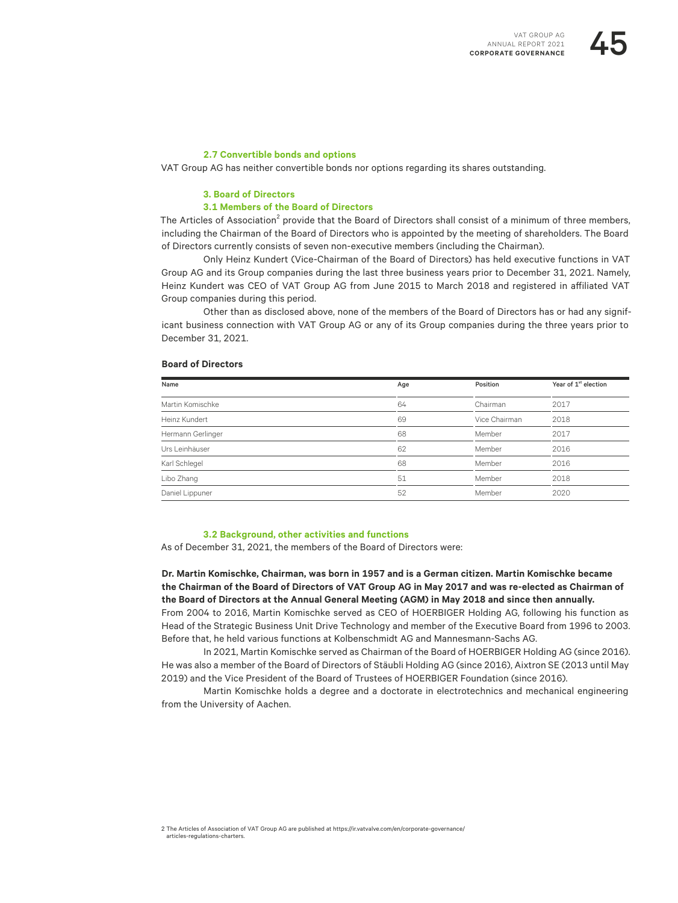#### **2.7 Convertible bonds and options**

VAT Group AG has neither convertible bonds nor options regarding its shares outstanding.

# **3. Board of Directors**

## **3.1 Members of the Board of Directors**

The Articles of Association<sup>2</sup> provide that the Board of Directors shall consist of a minimum of three members, including the Chairman of the Board of Directors who is appointed by the meeting of shareholders. The Board of Directors currently consists of seven non-executive members (including the Chairman).

Only Heinz Kundert (Vice-Chairman of the Board of Directors) has held executive functions in VAT Group AG and its Group companies during the last three business years prior to December 31, 2021. Namely, Heinz Kundert was CEO of VAT Group AG from June 2015 to March 2018 and registered in affiliated VAT Group companies during this period.

Other than as disclosed above, none of the members of the Board of Directors has or had any significant business connection with VAT Group AG or any of its Group companies during the three years prior to December 31, 2021.

#### **Board of Directors**

| Name              | Age | Position      | Year of 1 <sup>st</sup> election |  |
|-------------------|-----|---------------|----------------------------------|--|
| Martin Komischke  | 64  | Chairman      | 2017                             |  |
| Heinz Kundert     | 69  | Vice Chairman | 2018                             |  |
| Hermann Gerlinger | 68  | Member        | 2017                             |  |
| Urs Leinhäuser    | 62  | Member        | 2016                             |  |
| Karl Schlegel     | 68  | Member        | 2016                             |  |
| Libo Zhang        | 51  | Member        | 2018                             |  |
| Daniel Lippuner   | 52  | Member        | 2020                             |  |

#### **3.2 Background, other activities and functions**

As of December 31, 2021, the members of the Board of Directors were:

# **Dr. Martin Komischke, Chairman, was born in 1957 and is a German citizen. Martin Komischke became the Chairman of the Board of Directors of VAT Group AG in May 2017 and was re-elected as Chairman of the Board of Directors at the Annual General Meeting (AGM) in May 2018 and since then annually.**

From 2004 to 2016, Martin Komischke served as CEO of HOERBIGER Holding AG, following his function as Head of the Strategic Business Unit Drive Technology and member of the Executive Board from 1996 to 2003. Before that, he held various functions at Kolbenschmidt AG and Mannesmann-Sachs AG.

In 2021, Martin Komischke served as Chairman of the Board of HOERBIGER Holding AG (since 2016). He was also a member of the Board of Directors of Stäubli Holding AG (since 2016), Aixtron SE (2013 until May 2019) and the Vice President of the Board of Trustees of HOERBIGER Foundation (since 2016).

Martin Komischke holds a degree and a doctorate in electrotechnics and mechanical engineering from the University of Aachen.

2 The Articles of Association of VAT Group AG are published at [https://ir.vatvalve.com/en/corporate-governance/](https://ir.vatvalve.com/en/corporate-governance/articles-regulations-charters) [articles-regulations-charters](https://ir.vatvalve.com/en/corporate-governance/articles-regulations-charters).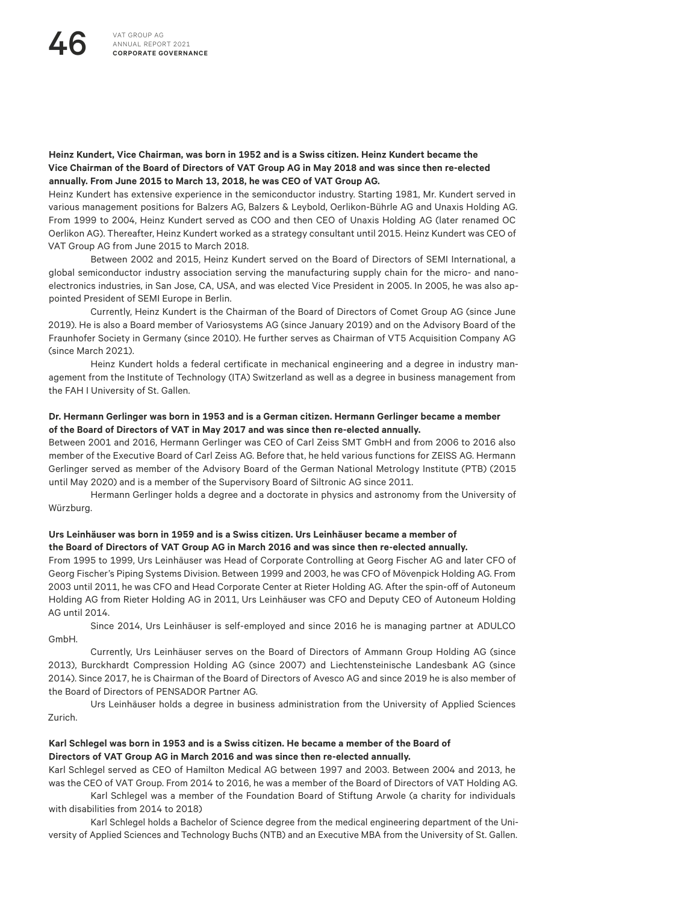# **Heinz Kundert, Vice Chairman, was born in 1952 and is a Swiss citizen. Heinz Kundert became the Vice Chairman of the Board of Directors of VAT Group AG in May 2018 and was since then re-elected annually. From June 2015 to March 13, 2018, he was CEO of VAT Group AG.**

Heinz Kundert has extensive experience in the semiconductor industry. Starting 1981, Mr. Kundert served in various management positions for Balzers AG, Balzers & Leybold, Oerlikon-Bührle AG and Unaxis Holding AG. From 1999 to 2004, Heinz Kundert served as COO and then CEO of Unaxis Holding AG (later renamed OC Oerlikon AG). Thereafter, Heinz Kundert worked as a strategy consultant until 2015. Heinz Kundert was CEO of VAT Group AG from June 2015 to March 2018.

Between 2002 and 2015, Heinz Kundert served on the Board of Directors of SEMI International, a global semiconductor industry association serving the manufacturing supply chain for the micro- and nanoelectronics industries, in San Jose, CA, USA, and was elected Vice President in 2005. In 2005, he was also appointed President of SEMI Europe in Berlin.

Currently, Heinz Kundert is the Chairman of the Board of Directors of Comet Group AG (since June 2019). He is also a Board member of Variosystems AG (since January 2019) and on the Advisory Board of the Fraunhofer Society in Germany (since 2010). He further serves as Chairman of VT5 Acquisition Company AG (since March 2021).

Heinz Kundert holds a federal certificate in mechanical engineering and a degree in industry management from the Institute of Technology (ITA) Switzerland as well as a degree in business management from the FAH I University of St. Gallen.

# **Dr. Hermann Gerlinger was born in 1953 and is a German citizen. Hermann Gerlinger became a member of the Board of Directors of VAT in May 2017 and was since then re-elected annually.**

Between 2001 and 2016, Hermann Gerlinger was CEO of Carl Zeiss SMT GmbH and from 2006 to 2016 also member of the Executive Board of Carl Zeiss AG. Before that, he held various functions for ZEISS AG. Hermann Gerlinger served as member of the Advisory Board of the German National Metrology Institute (PTB) (2015 until May 2020) and is a member of the Supervisory Board of Siltronic AG since 2011.

Hermann Gerlinger holds a degree and a doctorate in physics and astronomy from the University of Würzburg.

# **Urs Leinhäuser was born in 1959 and is a Swiss citizen. Urs Leinhäuser became a member of the Board of Directors of VAT Group AG in March 2016 and was since then re-elected annually.**

From 1995 to 1999, Urs Leinhäuser was Head of Corporate Controlling at Georg Fischer AG and later CFO of Georg Fischer's Piping Systems Division. Between 1999 and 2003, he was CFO of Mövenpick Holding AG. From 2003 until 2011, he was CFO and Head Corporate Center at Rieter Holding AG. After the spin-off of Autoneum Holding AG from Rieter Holding AG in 2011, Urs Leinhäuser was CFO and Deputy CEO of Autoneum Holding AG until 2014.

Since 2014, Urs Leinhäuser is self-employed and since 2016 he is managing partner at ADULCO GmbH.

Currently, Urs Leinhäuser serves on the Board of Directors of Ammann Group Holding AG (since 2013), Burckhardt Compression Holding AG (since 2007) and Liechtensteinische Landesbank AG (since 2014). Since 2017, he is Chairman of the Board of Directors of Avesco AG and since 2019 he is also member of the Board of Directors of PENSADOR Partner AG.

Urs Leinhäuser holds a degree in business administration from the University of Applied Sciences Zurich.

# **Karl Schlegel was born in 1953 and is a Swiss citizen. He became a member of the Board of Directors of VAT Group AG in March 2016 and was since then re-elected annually.**

Karl Schlegel served as CEO of Hamilton Medical AG between 1997 and 2003. Between 2004 and 2013, he was the CEO of VAT Group. From 2014 to 2016, he was a member of the Board of Directors of VAT Holding AG.

Karl Schlegel was a member of the Foundation Board of Stiftung Arwole (a charity for individuals with disabilities from 2014 to 2018)

Karl Schlegel holds a Bachelor of Science degree from the medical engineering department of the University of Applied Sciences and Technology Buchs (NTB) and an Executive MBA from the University of St. Gallen.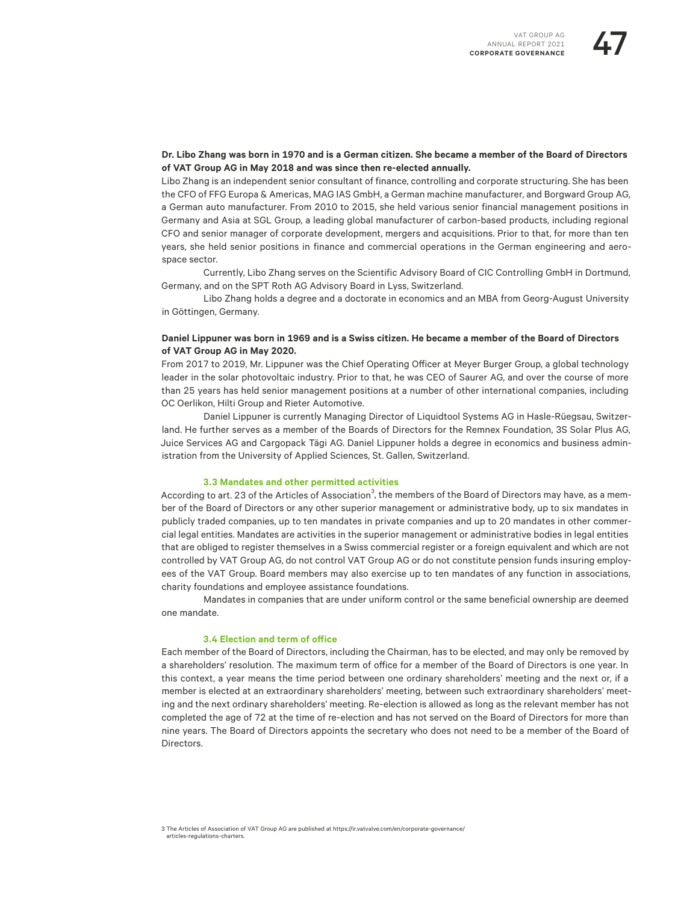# **Dr. Libo Zhang was born in 1970 and is a German citizen. She became a member of the Board of Directors of VAT Group AG in May 2018 and was since then re-elected annually.**

Libo Zhang is an independent senior consultant of finance, controlling and corporate structuring. She has been the CFO of FFG Europa & Americas, MAG IAS GmbH, a German machine manufacturer, and Borgward Group AG, a German auto manufacturer. From 2010 to 2015, she held various senior financial management positions in Germany and Asia at SGL Group, a leading global manufacturer of carbon-based products, including regional CFO and senior manager of corporate development, mergers and acquisitions. Prior to that, for more than ten years, she held senior positions in finance and commercial operations in the German engineering and aerospace sector.

Currently, Libo Zhang serves on the Scientific Advisory Board of CIC Controlling GmbH in Dortmund, Germany, and on the SPT Roth AG Advisory Board in Lyss, Switzerland.

Libo Zhang holds a degree and a doctorate in economics and an MBA from Georg-August University in Göttingen, Germany.

# **Daniel Lippuner was born in 1969 and is a Swiss citizen. He became a member of the Board of Directors of VAT Group AG in May 2020.**

From 2017 to 2019, Mr. Lippuner was the Chief Operating Officer at Meyer Burger Group, a global technology leader in the solar photovoltaic industry. Prior to that, he was CEO of Saurer AG, and over the course of more than 25 years has held senior management positions at a number of other international companies, including OC Oerlikon, Hilti Group and Rieter Automotive.

Daniel Lippuner is currently Managing Director of Liquidtool Systems AG in Hasle-Rüegsau, Switzerland. He further serves as a member of the Boards of Directors for the Remnex Foundation, 3S Solar Plus AG, Juice Services AG and Cargopack Tägi AG. Daniel Lippuner holds a degree in economics and business administration from the University of Applied Sciences, St. Gallen, Switzerland.

# **3.3 Mandates and other permitted activities**

According to art. 23 of the Articles of Association $^3$ , the members of the Board of Directors may have, as a member of the Board of Directors or any other superior management or administrative body, up to six mandates in publicly traded companies, up to ten mandates in private companies and up to 20 mandates in other commercial legal entities. Mandates are activities in the superior management or administrative bodies in legal entities that are obliged to register themselves in a Swiss commercial register or a foreign equivalent and which are not controlled by VAT Group AG, do not control VAT Group AG or do not constitute pension funds insuring employees of the VAT Group. Board members may also exercise up to ten mandates of any function in associations, charity foundations and employee assistance foundations.

Mandates in companies that are under uniform control or the same beneficial ownership are deemed one mandate.

# **3.4 Election and term of office**

Each member of the Board of Directors, including the Chairman, has to be elected, and may only be removed by a shareholders' resolution. The maximum term of office for a member of the Board of Directors is one year. In this context, a year means the time period between one ordinary shareholders' meeting and the next or, if a member is elected at an extraordinary shareholders' meeting, between such extraordinary shareholders' meeting and the next ordinary shareholders' meeting. Re-election is allowed as long as the relevant member has not completed the age of 72 at the time of re-election and has not served on the Board of Directors for more than nine years. The Board of Directors appoints the secretary who does not need to be a member of the Board of Directors.

<sup>3</sup> The Articles of Association of VAT Group AG are published at [https://ir.vatvalve.com/en/corporate-governance/](https://ir.vatvalve.com/en/corporate-governance/articles-regulations-charters) [articles-regulations-charters](https://ir.vatvalve.com/en/corporate-governance/articles-regulations-charters).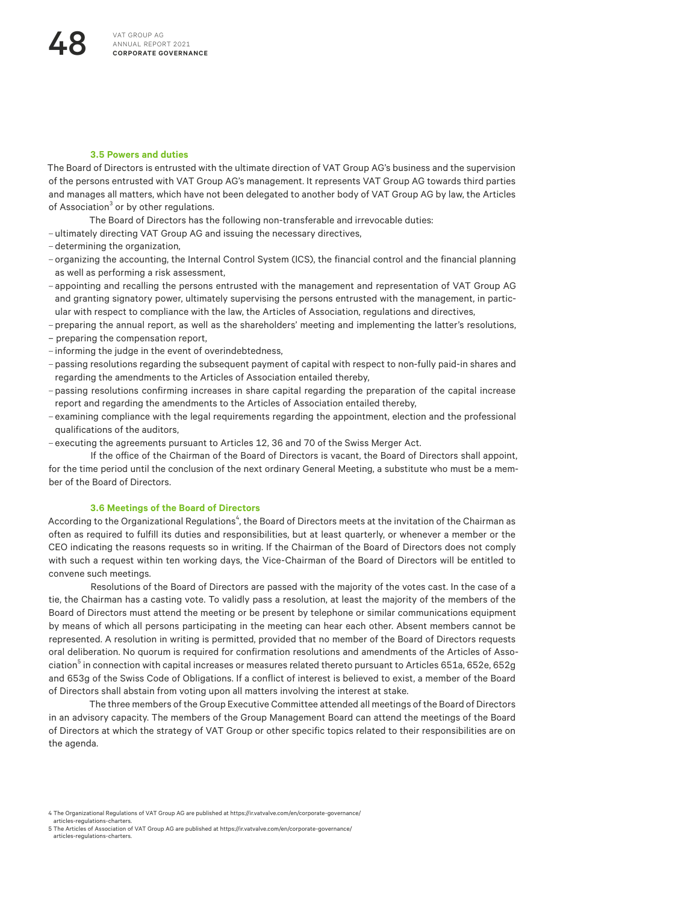#### **3.5 Powers and duties**

The Board of Directors is entrusted with the ultimate direction of VAT Group AG's business and the supervision of the persons entrusted with VAT Group AG's management. It represents VAT Group AG towards third parties and manages all matters, which have not been delegated to another body of VAT Group AG by law, the Articles of Association $^{\rm 3}$  or by other regulations.

The Board of Directors has the following non-transferable and irrevocable duties:

- ultimately directing VAT Group AG and issuing the necessary directives,
- determining the organization,
- organizing the accounting, the Internal Control System (ICS), the financial control and the financial planning as well as performing a risk assessment,
- appointing and recalling the persons entrusted with the management and representation of VAT Group AG and granting signatory power, ultimately supervising the persons entrusted with the management, in particular with respect to compliance with the law, the Articles of Association, regulations and directives,
- preparing the annual report, as well as the shareholders' meeting and implementing the latter's resolutions,
- preparing the compensation report,
- informing the judge in the event of overindebtedness,
- passing resolutions regarding the subsequent payment of capital with respect to non-fully paid-in shares and regarding the amendments to the Articles of Association entailed thereby,
- passing resolutions confirming increases in share capital regarding the preparation of the capital increase report and regarding the amendments to the Articles of Association entailed thereby,
- examining compliance with the legal requirements regarding the appointment, election and the professional qualifications of the auditors,
- executing the agreements pursuant to Articles 12, 36 and 70 of the Swiss Merger Act.

If the office of the Chairman of the Board of Directors is vacant, the Board of Directors shall appoint, for the time period until the conclusion of the next ordinary General Meeting, a substitute who must be a member of the Board of Directors.

#### **3.6 Meetings of the Board of Directors**

According to the Organizational Regulations<sup>4</sup>, the Board of Directors meets at the invitation of the Chairman as often as required to fulfill its duties and responsibilities, but at least quarterly, or whenever a member or the CEO indicating the reasons requests so in writing. If the Chairman of the Board of Directors does not comply with such a request within ten working days, the Vice-Chairman of the Board of Directors will be entitled to convene such meetings.

Resolutions of the Board of Directors are passed with the majority of the votes cast. In the case of a tie, the Chairman has a casting vote. To validly pass a resolution, at least the majority of the members of the Board of Directors must attend the meeting or be present by telephone or similar communications equipment by means of which all persons participating in the meeting can hear each other. Absent members cannot be represented. A resolution in writing is permitted, provided that no member of the Board of Directors requests oral deliberation. No quorum is required for confirmation resolutions and amendments of the Articles of Association<sup>5</sup> in connection with capital increases or measures related thereto pursuant to Articles 651a, 652e, 652g and 653g of the Swiss Code of Obligations. If a conflict of interest is believed to exist, a member of the Board of Directors shall abstain from voting upon all matters involving the interest at stake.

The three members of the Group Executive Committee attended all meetings of the Board of Directors in an advisory capacity. The members of the Group Management Board can attend the meetings of the Board of Directors at which the strategy of VAT Group or other specific topics related to their responsibilities are on the agenda.

[articles-regulations-charters.](https://ir.vatvalve.com/en/corporate-governance/articles-regulations-charters) 5 The Articles of Association of VAT Group AG are published at [https://ir.vatvalve.com/en/corporate-governance/](https://ir.vatvalve.com/en/corporate-governance/articles-regulations-charters) [articles-regulations-charters.](https://ir.vatvalve.com/en/corporate-governance/articles-regulations-charters)

<sup>4</sup> The Organizational Regulations of VAT Group AG are published at [https://ir.vatvalve.com/en/corporate-governance/](https://ir.vatvalve.com/en/corporate-governance/articles-regulations-charters)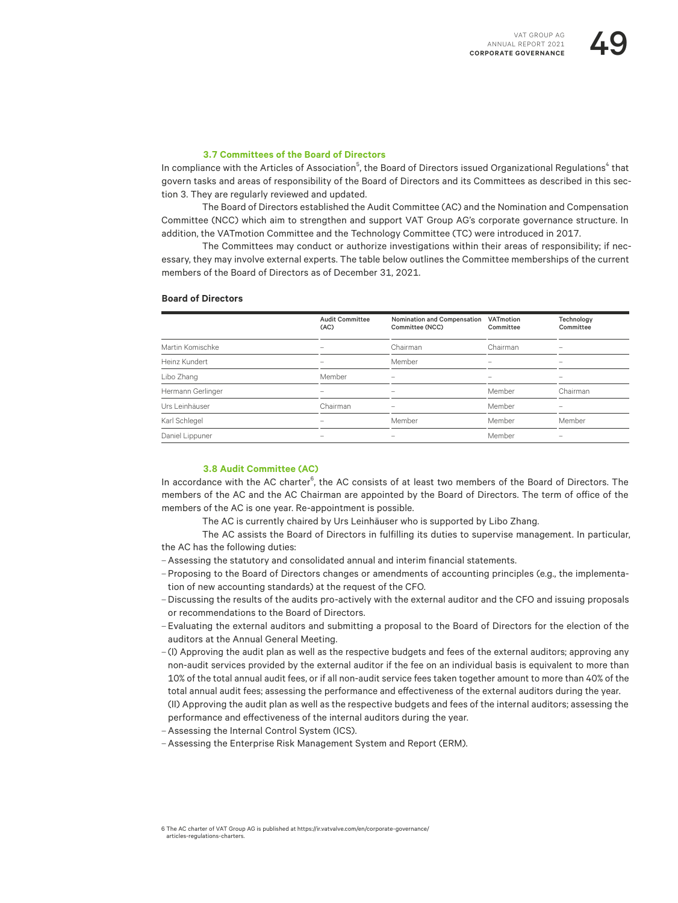# **3.7 Committees of the Board of Directors**

In compliance with the Articles of Association<sup>5</sup>, the Board of Directors issued Organizational Regulations<sup>4</sup> that govern tasks and areas of responsibility of the Board of Directors and its Committees as described in this section 3. They are regularly reviewed and updated.

The Board of Directors established the Audit Committee (AC) and the Nomination and Compensation Committee (NCC) which aim to strengthen and support VAT Group AG's corporate governance structure. In addition, the VATmotion Committee and the Technology Committee (TC) were introduced in 2017.

The Committees may conduct or authorize investigations within their areas of responsibility; if necessary, they may involve external experts. The table below outlines the Committee memberships of the current members of the Board of Directors as of December 31, 2021.

|                   | <b>Audit Committee</b><br>(AC) | Nomination and Compensation<br>Committee (NCC) | VATmotion<br>Committee   | Technology<br>Committee |
|-------------------|--------------------------------|------------------------------------------------|--------------------------|-------------------------|
| Martin Komischke  |                                | Chairman                                       | Chairman                 | -                       |
| Heinz Kundert     |                                | Member                                         |                          |                         |
| Libo Zhang        | Member                         |                                                | $\overline{\phantom{a}}$ |                         |
| Hermann Gerlinger |                                |                                                | Member                   | Chairman                |
| Urs Leinhäuser    | Chairman                       |                                                | Member                   |                         |
| Karl Schlegel     |                                | Member                                         | Member                   | Member                  |
| Daniel Lippuner   | -                              | -                                              | Member                   |                         |

#### **Board of Directors**

#### **3.8 Audit Committee (AC)**

In accordance with the AC charter $^6$ , the AC consists of at least two members of the Board of Directors. The members of the AC and the AC Chairman are appointed by the Board of Directors. The term of office of the members of the AC is one year. Re-appointment is possible.

The AC is currently chaired by Urs Leinhäuser who is supported by Libo Zhang.

The AC assists the Board of Directors in fulfilling its duties to supervise management. In particular, the AC has the following duties:

- –Assessing the statutory and consolidated annual and interim financial statements.
- Proposing to the Board of Directors changes or amendments of accounting principles (e.g., the implementation of new accounting standards) at the request of the CFO.
- –Discussing the results of the audits pro-actively with the external auditor and the CFO and issuing proposals or recommendations to the Board of Directors.
- Evaluating the external auditors and submitting a proposal to the Board of Directors for the election of the auditors at the Annual General Meeting.
- (I) Approving the audit plan as well as the respective budgets and fees of the external auditors; approving any non-audit services provided by the external auditor if the fee on an individual basis is equivalent to more than 10% of the total annual audit fees, or if all non-audit service fees taken together amount to more than 40% of the total annual audit fees; assessing the performance and effectiveness of the external auditors during the year.
- (II) Approving the audit plan as well as the respective budgets and fees of the internal auditors; assessing the performance and effectiveness of the internal auditors during the year.
- –Assessing the Internal Control System (ICS).
- –Assessing the Enterprise Risk Management System and Report (ERM).

<sup>6</sup> The AC charter of VAT Group AG is published at [https://ir.vatvalve.com/en/corporate-governance/](https://ir.vatvalve.com/en/corporate-governance/articles-regulations-charters) [articles-regulations-charters](https://ir.vatvalve.com/en/corporate-governance/articles-regulations-charters).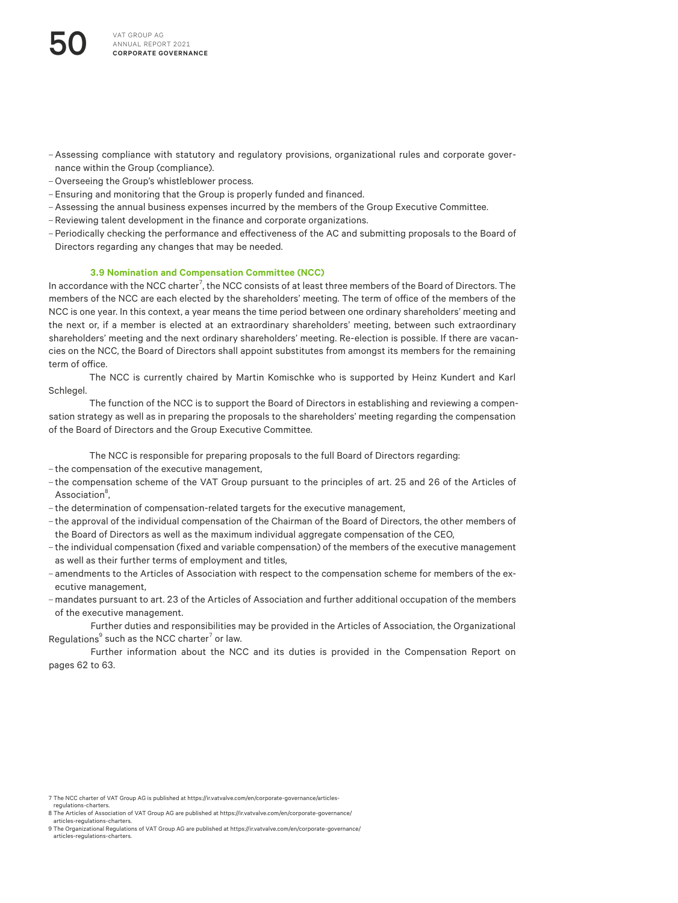- –Assessing compliance with statutory and regulatory provisions, organizational rules and corporate governance within the Group (compliance).
- –Overseeing the Group's whistleblower process.
- Ensuring and monitoring that the Group is properly funded and financed.
- –Assessing the annual business expenses incurred by the members of the Group Executive Committee.
- Reviewing talent development in the finance and corporate organizations.
- Periodically checking the performance and effectiveness of the AC and submitting proposals to the Board of Directors regarding any changes that may be needed.

# **3.9 Nomination and Compensation Committee (NCC)**

In accordance with the NCC charter $^7$ , the NCC consists of at least three members of the Board of Directors. The members of the NCC are each elected by the shareholders' meeting. The term of office of the members of the NCC is one year. In this context, a year means the time period between one ordinary shareholders' meeting and the next or, if a member is elected at an extraordinary shareholders' meeting, between such extraordinary shareholders' meeting and the next ordinary shareholders' meeting. Re-election is possible. If there are vacancies on the NCC, the Board of Directors shall appoint substitutes from amongst its members for the remaining term of office.

The NCC is currently chaired by Martin Komischke who is supported by Heinz Kundert and Karl Schlegel.

The function of the NCC is to support the Board of Directors in establishing and reviewing a compensation strategy as well as in preparing the proposals to the shareholders' meeting regarding the compensation of the Board of Directors and the Group Executive Committee.

The NCC is responsible for preparing proposals to the full Board of Directors regarding:

- the compensation of the executive management,
- the compensation scheme of the VAT Group pursuant to the principles of art. 25 and 26 of the Articles of Association<sup>8</sup>. ,
- the determination of compensation-related targets for the executive management,
- the approval of the individual compensation of the Chairman of the Board of Directors, the other members of the Board of Directors as well as the maximum individual aggregate compensation of the CEO,
- the individual compensation (fixed and variable compensation) of the members of the executive management as well as their further terms of employment and titles,
- amendments to the Articles of Association with respect to the compensation scheme for members of the executive management,
- mandates pursuant to art. 23 of the Articles of Association and further additional occupation of the members of the executive management.

Further duties and responsibilities may be provided in the Articles of Association, the Organizational Regulations $^{\rm 9}$  such as the NCC charter $^7$  or law.

Further information about the NCC and its duties is provided in the Compensation Report on pages 62 to 63.

<sup>7</sup> The NCC charter of VAT Group AG is published at [https://ir.vatvalve.com/en/corporate-governance/articles](https://ir.vatvalve.com/en/corporate-governance/articles-regulations-charters)[regulations-charters.](https://ir.vatvalve.com/en/corporate-governance/articles-regulations-charters)

<sup>8</sup> The Articles of Association of VAT Group AG are published at [https://ir.vatvalve.com/en/corporate-governance/](https://ir.vatvalve.com/en/corporate-governance/articles-regulations-charters)

[articles-regulations-charters.](https://ir.vatvalve.com/en/corporate-governance/articles-regulations-charters) 9 The Organizational Regulations of VAT Group AG are published at [https://ir.vatvalve.com/en/corporate-governance/](https://ir.vatvalve.com/en/corporate-governance/articles-regulations-charters) [articles-regulations-charters.](https://ir.vatvalve.com/en/corporate-governance/articles-regulations-charters)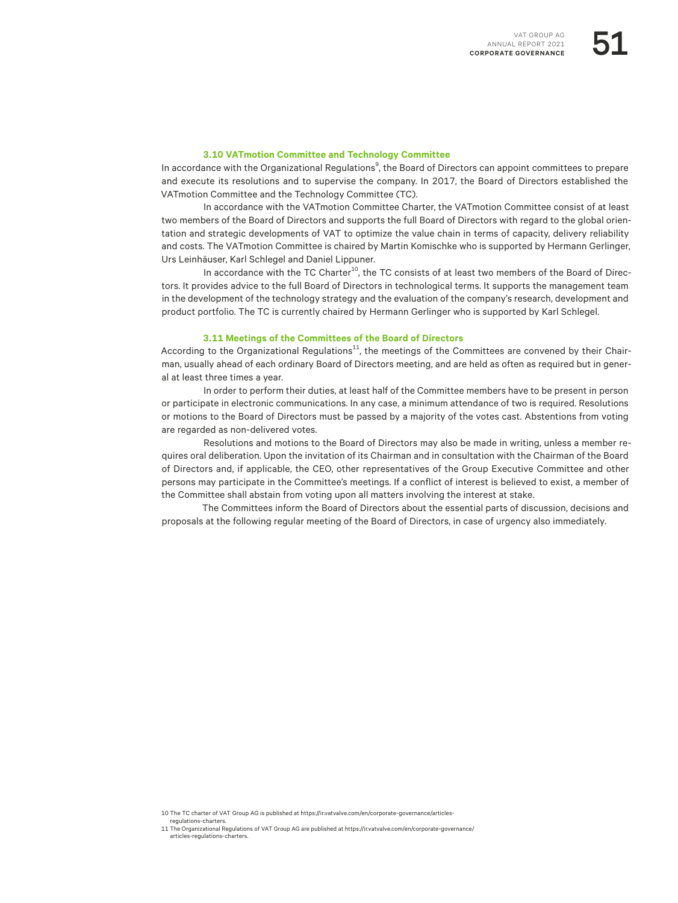# **3.10 VATmotion Committee and Technology Committee**

In accordance with the Organizational Regulations<sup>9</sup>, the Board of Directors can appoint committees to prepare and execute its resolutions and to supervise the company. In 2017, the Board of Directors established the VATmotion Committee and the Technology Committee (TC).

In accordance with the VATmotion Committee Charter, the VATmotion Committee consist of at least two members of the Board of Directors and supports the full Board of Directors with regard to the global orientation and strategic developments of VAT to optimize the value chain in terms of capacity, delivery reliability and costs. The VATmotion Committee is chaired by Martin Komischke who is supported by Hermann Gerlinger, Urs Leinhäuser, Karl Schlegel and Daniel Lippuner.

In accordance with the TC Charter<sup>10</sup>, the TC consists of at least two members of the Board of Directors. It provides advice to the full Board of Directors in technological terms. It supports the management team in the development of the technology strategy and the evaluation of the company's research, development and product portfolio. The TC is currently chaired by Hermann Gerlinger who is supported by Karl Schlegel.

# **3.11 Meetings of the Committees of the Board of Directors**

According to the Organizational Regulations<sup>11</sup>, the meetings of the Committees are convened by their Chairman, usually ahead of each ordinary Board of Directors meeting, and are held as often as required but in general at least three times a year.

In order to perform their duties, at least half of the Committee members have to be present in person or participate in electronic communications. In any case, a minimum attendance of two is required. Resolutions or motions to the Board of Directors must be passed by a majority of the votes cast. Abstentions from voting are regarded as non-delivered votes.

Resolutions and motions to the Board of Directors may also be made in writing, unless a member requires oral deliberation. Upon the invitation of its Chairman and in consultation with the Chairman of the Board of Directors and, if applicable, the CEO, other representatives of the Group Executive Committee and other persons may participate in the Committee's meetings. If a conflict of interest is believed to exist, a member of the Committee shall abstain from voting upon all matters involving the interest at stake.

The Committees inform the Board of Directors about the essential parts of discussion, decisions and proposals at the following regular meeting of the Board of Directors, in case of urgency also immediately.

<sup>10</sup> The TC charter of VAT Group AG is published at [https://ir.vatvalve.com/en/corporate-governance/articles-](https://ir.vatvalve.com/en/corporate-governance/articles-regulations-charters)

regulations-charters

<sup>11</sup> The Organizational Regulations of VAT Group AG are published at [https://ir.vatvalve.com/en/corporate-governance/](https://ir.vatvalve.com/en/corporate-governance/articles-regulations-charters) [articles-regulations-charters](https://ir.vatvalve.com/en/corporate-governance/articles-regulations-charters).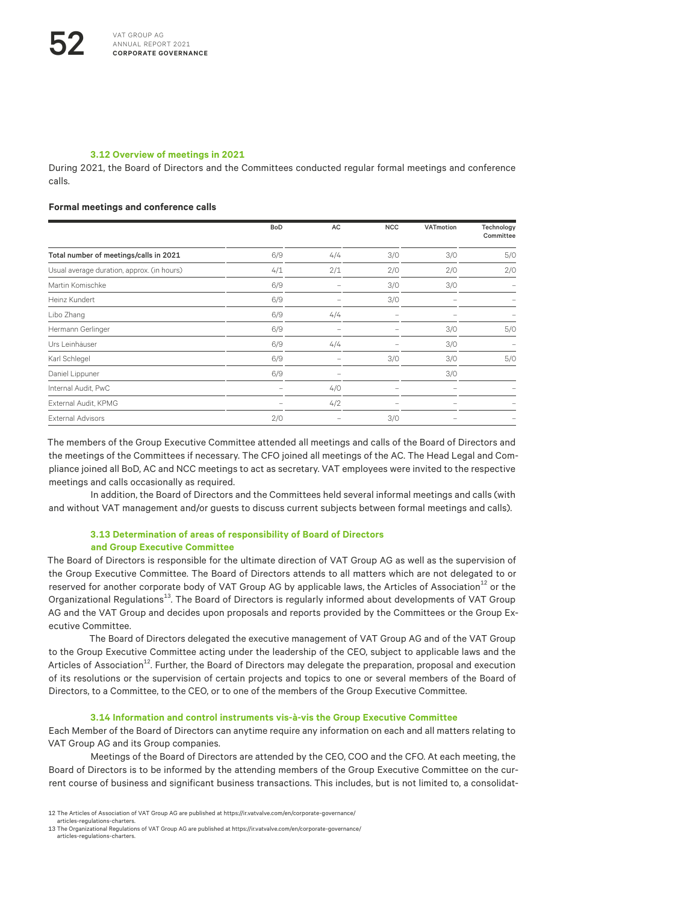#### **3.12 Overview of meetings in 2021**

During 2021, the Board of Directors and the Committees conducted regular formal meetings and conference calls.

#### **Formal meetings and conference calls**

|                                            | BoD | AC  | <b>NCC</b> | VATmotion | Technology<br>Committee  |
|--------------------------------------------|-----|-----|------------|-----------|--------------------------|
| Total number of meetings/calls in 2021     | 6/9 | 4/4 | 3/0        | 3/0       | 5/0                      |
| Usual average duration, approx. (in hours) | 4/1 | 2/1 | 2/0        | 2/0       | 2/0                      |
| Martin Komischke                           | 6/9 |     | 3/0        | 3/0       | $\overline{\phantom{a}}$ |
| Heinz Kundert                              | 6/9 |     | 3/0        |           |                          |
| Libo Zhang                                 | 6/9 | 4/4 |            |           | $\overline{\phantom{a}}$ |
| Hermann Gerlinger                          | 6/9 |     |            | 3/0       | 5/0                      |
| Urs Leinhäuser                             | 6/9 | 4/4 |            | 3/0       |                          |
| Karl Schlegel                              | 6/9 |     | 3/0        | 3/0       | 5/0                      |
| Daniel Lippuner                            | 6/9 |     |            | 3/0       |                          |
| Internal Audit, PwC                        |     | 4/0 |            |           |                          |
| External Audit, KPMG                       |     | 4/2 |            |           |                          |
| <b>External Advisors</b>                   | 2/0 |     | 3/0        |           |                          |

The members of the Group Executive Committee attended all meetings and calls of the Board of Directors and the meetings of the Committees if necessary. The CFO joined all meetings of the AC. The Head Legal and Compliance joined all BoD, AC and NCC meetings to act as secretary. VAT employees were invited to the respective meetings and calls occasionally as required.

In addition, the Board of Directors and the Committees held several informal meetings and calls (with and without VAT management and/or guests to discuss current subjects between formal meetings and calls).

# **3.13 Determination of areas of responsibility of Board of Directors and Group Executive Committee**

The Board of Directors is responsible for the ultimate direction of VAT Group AG as well as the supervision of the Group Executive Committee. The Board of Directors attends to all matters which are not delegated to or reserved for another corporate body of VAT Group AG by applicable laws, the Articles of Association<sup>12</sup> or the Organizational Regulations<sup>13</sup>. The Board of Directors is regularly informed about developments of VAT Group AG and the VAT Group and decides upon proposals and reports provided by the Committees or the Group Executive Committee.

The Board of Directors delegated the executive management of VAT Group AG and of the VAT Group to the Group Executive Committee acting under the leadership of the CEO, subject to applicable laws and the Articles of Association<sup>12</sup>. Further, the Board of Directors may delegate the preparation, proposal and execution of its resolutions or the supervision of certain projects and topics to one or several members of the Board of Directors, to a Committee, to the CEO, or to one of the members of the Group Executive Committee.

# **3.14 Information and control instruments vis-à-vis the Group Executive Committee**

Each Member of the Board of Directors can anytime require any information on each and all matters relating to VAT Group AG and its Group companies.

Meetings of the Board of Directors are attended by the CEO, COO and the CFO. At each meeting, the Board of Directors is to be informed by the attending members of the Group Executive Committee on the current course of business and significant business transactions. This includes, but is not limited to, a consolidat-

<sup>12</sup> The Articles of Association of VAT Group AG are published at [https://ir.vatvalve.com/en/corporate-governance/](https://ir.vatvalve.com/en/corporate-governance/articles-regulations-charters) [articles-regulations-charters](https://ir.vatvalve.com/en/corporate-governance/articles-regulations-charters).

<sup>13</sup> The Organizational Regulations of VAT Group AG are published at [https://ir.vatvalve.com/en/corporate-governance/](https://ir.vatvalve.com/en/corporate-governance/articles-regulations-charters) [articles-regulations-charters](https://ir.vatvalve.com/en/corporate-governance/articles-regulations-charters).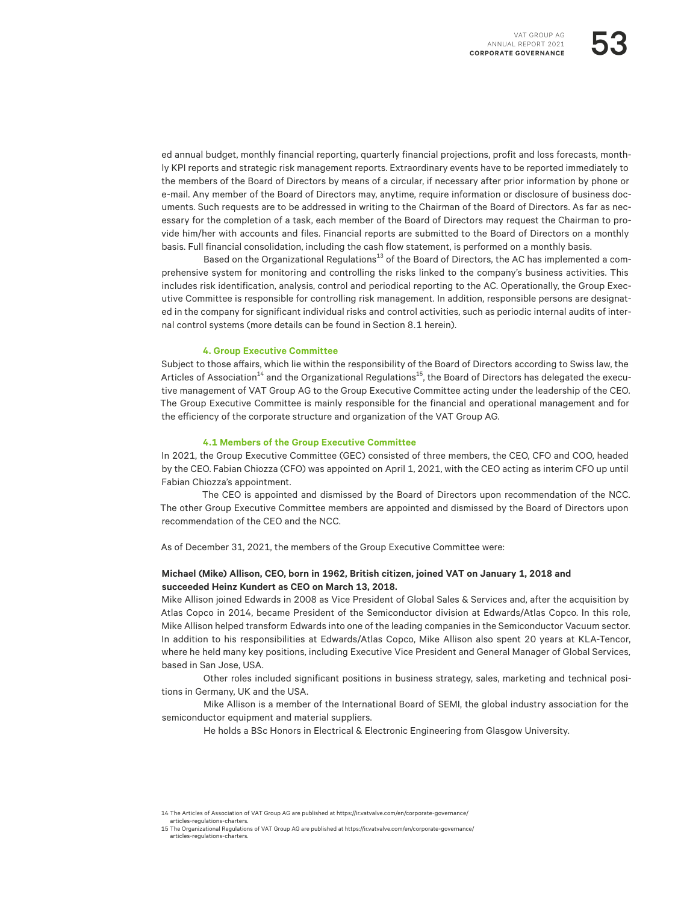ed annual budget, monthly financial reporting, quarterly financial projections, profit and loss forecasts, monthly KPI reports and strategic risk management reports. Extraordinary events have to be reported immediately to the members of the Board of Directors by means of a circular, if necessary after prior information by phone or e-mail. Any member of the Board of Directors may, anytime, require information or disclosure of business documents. Such requests are to be addressed in writing to the Chairman of the Board of Directors. As far as necessary for the completion of a task, each member of the Board of Directors may request the Chairman to provide him/her with accounts and files. Financial reports are submitted to the Board of Directors on a monthly basis. Full financial consolidation, including the cash flow statement, is performed on a monthly basis.

Based on the Organizational Regulations<sup>13</sup> of the Board of Directors, the AC has implemented a comprehensive system for monitoring and controlling the risks linked to the company's business activities. This includes risk identification, analysis, control and periodical reporting to the AC. Operationally, the Group Executive Committee is responsible for controlling risk management. In addition, responsible persons are designated in the company for significant individual risks and control activities, such as periodic internal audits of internal control systems (more details can be found in Section 8.1 herein).

#### **4. Group Executive Committee**

Subject to those affairs, which lie within the responsibility of the Board of Directors according to Swiss law, the Articles of Association<sup>14</sup> and the Organizational Regulations<sup>15</sup>, the Board of Directors has delegated the executive management of VAT Group AG to the Group Executive Committee acting under the leadership of the CEO. The Group Executive Committee is mainly responsible for the financial and operational management and for the efficiency of the corporate structure and organization of the VAT Group AG.

#### **4.1 Members of the Group Executive Committee**

In 2021, the Group Executive Committee (GEC) consisted of three members, the CEO, CFO and COO, headed by the CEO. Fabian Chiozza (CFO) was appointed on April 1, 2021, with the CEO acting as interim CFO up until Fabian Chiozza's appointment.

The CEO is appointed and dismissed by the Board of Directors upon recommendation of the NCC. The other Group Executive Committee members are appointed and dismissed by the Board of Directors upon recommendation of the CEO and the NCC.

As of December 31, 2021, the members of the Group Executive Committee were:

# **Michael (Mike) Allison, CEO, born in 1962, British citizen, joined VAT on January 1, 2018 and succeeded Heinz Kundert as CEO on March 13, 2018.**

Mike Allison joined Edwards in 2008 as Vice President of Global Sales & Services and, after the acquisition by Atlas Copco in 2014, became President of the Semiconductor division at Edwards/Atlas Copco. In this role, Mike Allison helped transform Edwards into one of the leading companies in the Semiconductor Vacuum sector. In addition to his responsibilities at Edwards/Atlas Copco, Mike Allison also spent 20 years at KLA-Tencor, where he held many key positions, including Executive Vice President and General Manager of Global Services, based in San Jose, USA.

Other roles included significant positions in business strategy, sales, marketing and technical positions in Germany, UK and the USA.

Mike Allison is a member of the International Board of SEMI, the global industry association for the semiconductor equipment and material suppliers.

He holds a BSc Honors in Electrical & Electronic Engineering from Glasgow University.

14 The Articles of Association of VAT Group AG are published at [https://ir.vatvalve.com/en/corporate-governance/](https://ir.vatvalve.com/en/corporate-governance/articles-regulations-charters)

[articles-regulations-charters](https://ir.vatvalve.com/en/corporate-governance/articles-regulations-charters).

15 The Organizational Regulations of VAT Group AG are published at [https://ir.vatvalve.com/en/corporate-governance/](https://ir.vatvalve.com/en/corporate-governance/articles-regulations-charters) [articles-regulations-charters](https://ir.vatvalve.com/en/corporate-governance/articles-regulations-charters).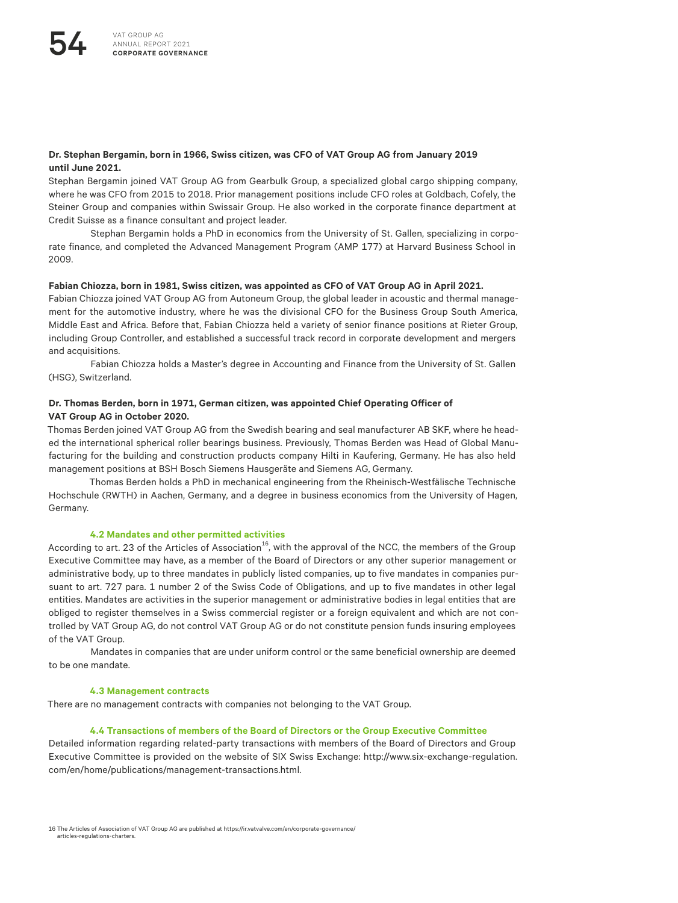# **Dr. Stephan Bergamin, born in 1966, Swiss citizen, was CFO of VAT Group AG from January 2019 until June 2021.**

Stephan Bergamin joined VAT Group AG from Gearbulk Group, a specialized global cargo shipping company, where he was CFO from 2015 to 2018. Prior management positions include CFO roles at Goldbach, Cofely, the Steiner Group and companies within Swissair Group. He also worked in the corporate finance department at Credit Suisse as a finance consultant and project leader.

Stephan Bergamin holds a PhD in economics from the University of St. Gallen, specializing in corporate finance, and completed the Advanced Management Program (AMP 177) at Harvard Business School in 2009.

#### **Fabian Chiozza, born in 1981, Swiss citizen, was appointed as CFO of VAT Group AG in April 2021.**

Fabian Chiozza joined VAT Group AG from Autoneum Group, the global leader in acoustic and thermal management for the automotive industry, where he was the divisional CFO for the Business Group South America, Middle East and Africa. Before that, Fabian Chiozza held a variety of senior finance positions at Rieter Group, including Group Controller, and established a successful track record in corporate development and mergers and acquisitions.

Fabian Chiozza holds a Master's degree in Accounting and Finance from the University of St. Gallen (HSG), Switzerland.

# **Dr. Thomas Berden, born in 1971, German citizen, was appointed Chief Operating Officer of VAT Group AG in October 2020.**

Thomas Berden joined VAT Group AG from the Swedish bearing and seal manufacturer AB SKF, where he headed the international spherical roller bearings business. Previously, Thomas Berden was Head of Global Manufacturing for the building and construction products company Hilti in Kaufering, Germany. He has also held management positions at BSH Bosch Siemens Hausgeräte and Siemens AG, Germany.

Thomas Berden holds a PhD in mechanical engineering from the Rheinisch-Westfälische Technische Hochschule (RWTH) in Aachen, Germany, and a degree in business economics from the University of Hagen, Germany.

#### **4.2 Mandates and other permitted activities**

According to art. 23 of the Articles of Association<sup>16</sup>, with the approval of the NCC, the members of the Group Executive Committee may have, as a member of the Board of Directors or any other superior management or administrative body, up to three mandates in publicly listed companies, up to five mandates in companies pursuant to art. 727 para. 1 number 2 of the Swiss Code of Obligations, and up to five mandates in other legal entities. Mandates are activities in the superior management or administrative bodies in legal entities that are obliged to register themselves in a Swiss commercial register or a foreign equivalent and which are not controlled by VAT Group AG, do not control VAT Group AG or do not constitute pension funds insuring employees of the VAT Group.

Mandates in companies that are under uniform control or the same beneficial ownership are deemed to be one mandate.

#### **4.3 Management contracts**

There are no management contracts with companies not belonging to the VAT Group.

#### **4.4 Transactions of members of the Board of Directors or the Group Executive Committee**

Detailed information regarding related-party transactions with members of the Board of Directors and Group Executive Committee is provided on the website of [SIX Swiss Exchange: http://www.six-exchange-regulation.](http://www.six-exchange-regulation.com/en/home/publications/management-transactions.html) [com/en/home/publications/management-transactions.html](http://www.six-exchange-regulation.com/en/home/publications/management-transactions.html).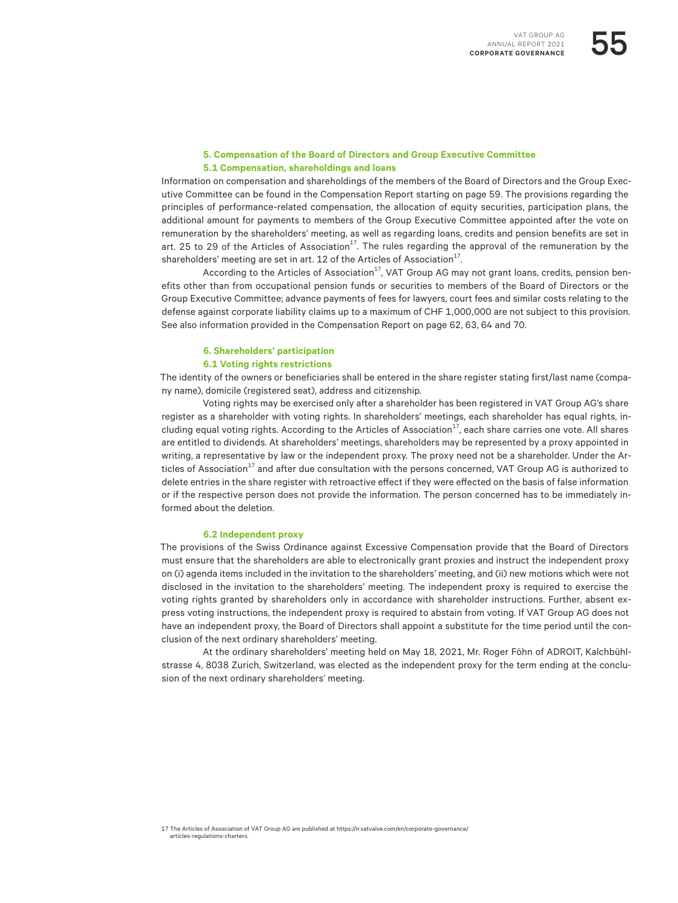## **5. Compensation of the Board of Directors and Group Executive Committee 5.1 Compensation, shareholdings and loans**

Information on compensation and shareholdings of the members of the Board of Directors and the Group Executive Committee can be found in the Compensation Report starting on page 59. The provisions regarding the principles of performance-related compensation, the allocation of equity securities, participation plans, the additional amount for payments to members of the Group Executive Committee appointed after the vote on remuneration by the shareholders' meeting, as well as regarding loans, credits and pension benefits are set in art. 25 to 29 of the Articles of Association<sup>17</sup>. The rules regarding the approval of the remuneration by the shareholders' meeting are set in art. 12 of the Articles of Association<sup>17</sup>.

According to the Articles of Association<sup>17</sup>, VAT Group AG may not grant loans, credits, pension benefits other than from occupational pension funds or securities to members of the Board of Directors or the Group Executive Committee; advance payments of fees for lawyers, court fees and similar costs relating to the defense against corporate liability claims up to a maximum of CHF 1,000,000 are not subject to this provision. See also information provided in the Compensation Report on page 62, 63, 64 and 70.

# **6. Shareholders' participation 6.1 Voting rights restrictions**

The identity of the owners or beneficiaries shall be entered in the share register stating first/last name (company name), domicile (registered seat), address and citizenship.

Voting rights may be exercised only after a shareholder has been registered in VAT Group AG's share register as a shareholder with voting rights. In shareholders' meetings, each shareholder has equal rights, including equal voting rights. According to the Articles of Association $17$ , each share carries one vote. All shares are entitled to dividends. At shareholders' meetings, shareholders may be represented by a proxy appointed in writing, a representative by law or the independent proxy. The proxy need not be a shareholder. Under the Articles of Association<sup>17</sup> and after due consultation with the persons concerned, VAT Group AG is authorized to delete entries in the share register with retroactive effect if they were effected on the basis of false information or if the respective person does not provide the information. The person concerned has to be immediately informed about the deletion.

# **6.2 Independent proxy**

The provisions of the Swiss Ordinance against Excessive Compensation provide that the Board of Directors must ensure that the shareholders are able to electronically grant proxies and instruct the independent proxy on (i) agenda items included in the invitation to the shareholders' meeting, and (ii) new motions which were not disclosed in the invitation to the shareholders' meeting. The independent proxy is required to exercise the voting rights granted by shareholders only in accordance with shareholder instructions. Further, absent express voting instructions, the independent proxy is required to abstain from voting. If VAT Group AG does not have an independent proxy, the Board of Directors shall appoint a substitute for the time period until the conclusion of the next ordinary shareholders' meeting.

At the ordinary shareholders' meeting held on May 18, 2021, Mr. Roger Föhn of ADROIT, Kalchbühlstrasse 4, 8038 Zurich, Switzerland, was elected as the independent proxy for the term ending at the conclusion of the next ordinary shareholders' meeting.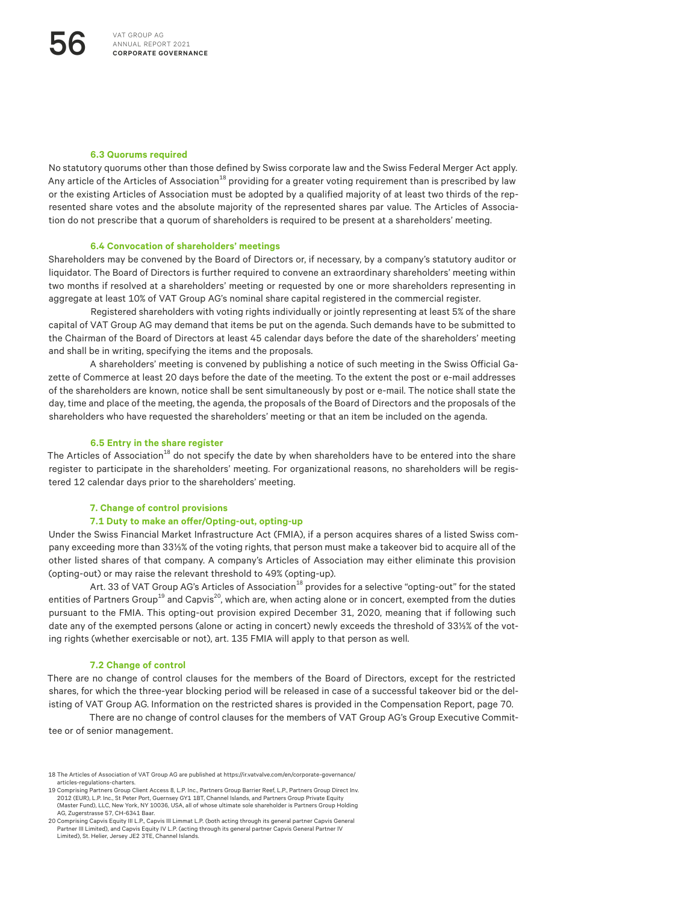#### **6.3 Quorums required**

No statutory quorums other than those defined by Swiss corporate law and the Swiss Federal Merger Act apply. Any article of the Articles of Association<sup>18</sup> providing for a greater voting requirement than is prescribed by law or the existing Articles of Association must be adopted by a qualified majority of at least two thirds of the represented share votes and the absolute majority of the represented shares par value. The Articles of Association do not prescribe that a quorum of shareholders is required to be present at a shareholders' meeting.

#### **6.4 Convocation of shareholders' meetings**

Shareholders may be convened by the Board of Directors or, if necessary, by a company's statutory auditor or liquidator. The Board of Directors is further required to convene an extraordinary shareholders' meeting within two months if resolved at a shareholders' meeting or requested by one or more shareholders representing in aggregate at least 10% of VAT Group AG's nominal share capital registered in the commercial register.

Registered shareholders with voting rights individually or jointly representing at least 5% of the share capital of VAT Group AG may demand that items be put on the agenda. Such demands have to be submitted to the Chairman of the Board of Directors at least 45 calendar days before the date of the shareholders' meeting and shall be in writing, specifying the items and the proposals.

A shareholders' meeting is convened by publishing a notice of such meeting in the Swiss Official Gazette of Commerce at least 20 days before the date of the meeting. To the extent the post or e-mail addresses of the shareholders are known, notice shall be sent simultaneously by post or e-mail. The notice shall state the day, time and place of the meeting, the agenda, the proposals of the Board of Directors and the proposals of the shareholders who have requested the shareholders' meeting or that an item be included on the agenda.

# **6.5 Entry in the share register**

The Articles of Association<sup>18</sup> do not specify the date by when shareholders have to be entered into the share register to participate in the shareholders' meeting. For organizational reasons, no shareholders will be registered 12 calendar days prior to the shareholders' meeting.

#### **7. Change of control provisions**

#### **7.1 Duty to make an offer/Opting-out, opting-up**

Under the Swiss Financial Market Infrastructure Act (FMIA), if a person acquires shares of a listed Swiss company exceeding more than 33⅓% of the voting rights, that person must make a takeover bid to acquire all of the other listed shares of that company. A company's Articles of Association may either eliminate this provision (opting-out) or may raise the relevant threshold to 49% (opting-up).

Art. 33 of VAT Group AG's Articles of Association<sup>18</sup> provides for a selective "opting-out" for the stated entities of Partners Group<sup>19</sup> and Capvis<sup>20</sup>, which are, when acting alone or in concert, exempted from the duties pursuant to the FMIA. This opting-out provision expired December 31, 2020, meaning that if following such date any of the exempted persons (alone or acting in concert) newly exceeds the threshold of 33⅓% of the voting rights (whether exercisable or not), art. 135 FMIA will apply to that person as well.

# **7.2 Change of control**

There are no change of control clauses for the members of the Board of Directors, except for the restricted shares, for which the three-year blocking period will be released in case of a successful takeover bid or the delisting of VAT Group AG. Information on the restricted shares is provided in the Compensation Report, page 70.

There are no change of control clauses for the members of VAT Group AG's Group Executive Committee or of senior management.

<sup>18</sup> The Articles of Association of VAT Group AG are published at [https://ir.vatvalve.com/en/corporate-governance/](https://ir.vatvalve.com/en/corporate-governance/articles-regulations-charters) [articles-regulations-charters](https://ir.vatvalve.com/en/corporate-governance/articles-regulations-charters).

<sup>19</sup> Comprising Partners Group Client Access 8, L.P. Inc., Partners Group Barrier Reef, L.P., Partners Group Direct Inv. 2012 (EUR), L.P. Inc., St Peter Port, Guernsey GY1 1BT, Channel Islands, and Partners Group Private Equity (Master Fund), LLC, New York, NY 10036, USA, all of whose ultimate sole shareholder is Partners Group Holding AG, Zugerstrasse 57, CH-6341 Baar.

<sup>20</sup> Comprising Capvis Equity III L.P., Capvis III Limmat L.P. (both acting through its general partner Capvis General<br>Partner III Limited), and Capvis Equity IV L.P. (acting through its general partner Capvis General Partne Limited), St. Helier, Jersey JE2 3TE, Channel Islands.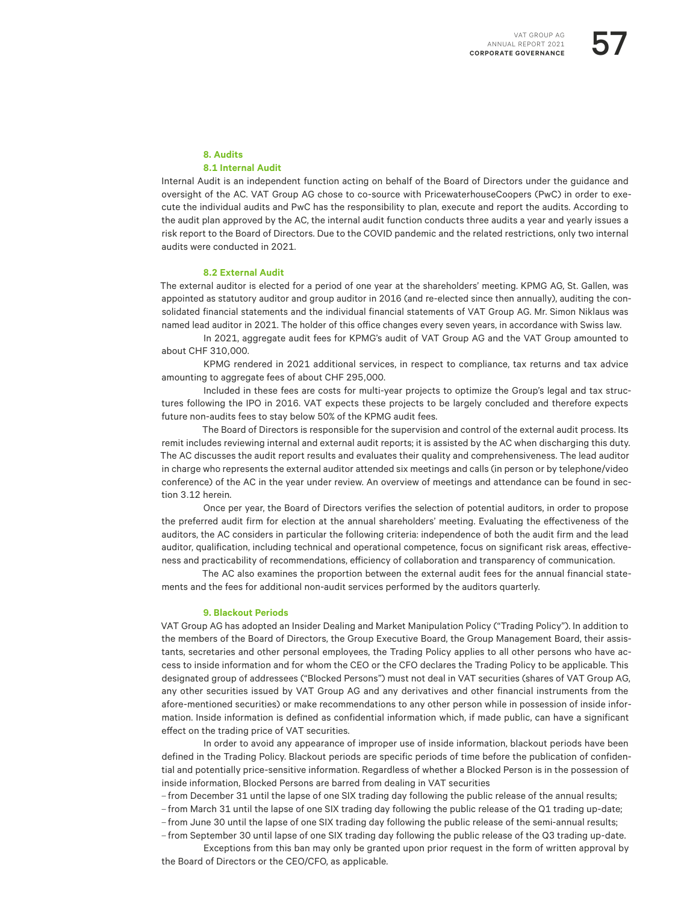#### **8. Audits 8.1 Internal Audit**

Internal Audit is an independent function acting on behalf of the Board of Directors under the guidance and oversight of the AC. VAT Group AG chose to co-source with PricewaterhouseCoopers (PwC) in order to execute the individual audits and PwC has the responsibility to plan, execute and report the audits. According to the audit plan approved by the AC, the internal audit function conducts three audits a year and yearly issues a risk report to the Board of Directors. Due to the COVID pandemic and the related restrictions, only two internal audits were conducted in 2021.

# **8.2 External Audit**

The external auditor is elected for a period of one year at the shareholders' meeting. KPMG AG, St. Gallen, was appointed as statutory auditor and group auditor in 2016 (and re-elected since then annually), auditing the consolidated financial statements and the individual financial statements of VAT Group AG. Mr. Simon Niklaus was named lead auditor in 2021. The holder of this office changes every seven years, in accordance with Swiss law.

In 2021, aggregate audit fees for KPMG's audit of VAT Group AG and the VAT Group amounted to about CHF 310,000.

KPMG rendered in 2021 additional services, in respect to compliance, tax returns and tax advice amounting to aggregate fees of about CHF 295,000.

Included in these fees are costs for multi-year projects to optimize the Group's legal and tax structures following the IPO in 2016. VAT expects these projects to be largely concluded and therefore expects future non-audits fees to stay below 50% of the KPMG audit fees.

The Board of Directors is responsible for the supervision and control of the external audit process. Its remit includes reviewing internal and external audit reports; it is assisted by the AC when discharging this duty. The AC discusses the audit report results and evaluates their quality and comprehensiveness. The lead auditor in charge who represents the external auditor attended six meetings and calls (in person or by telephone/video conference) of the AC in the year under review. An overview of meetings and attendance can be found in section 3.12 herein.

Once per year, the Board of Directors verifies the selection of potential auditors, in order to propose the preferred audit firm for election at the annual shareholders' meeting. Evaluating the effectiveness of the auditors, the AC considers in particular the following criteria: independence of both the audit firm and the lead auditor, qualification, including technical and operational competence, focus on significant risk areas, effectiveness and practicability of recommendations, efficiency of collaboration and transparency of communication.

The AC also examines the proportion between the external audit fees for the annual financial statements and the fees for additional non-audit services performed by the auditors quarterly.

# **9. Blackout Periods**

VAT Group AG has adopted an Insider Dealing and Market Manipulation Policy ("Trading Policy"). In addition to the members of the Board of Directors, the Group Executive Board, the Group Management Board, their assistants, secretaries and other personal employees, the Trading Policy applies to all other persons who have access to inside information and for whom the CEO or the CFO declares the Trading Policy to be applicable. This designated group of addressees ("Blocked Persons") must not deal in VAT securities (shares of VAT Group AG, any other securities issued by VAT Group AG and any derivatives and other financial instruments from the afore-mentioned securities) or make recommendations to any other person while in possession of inside information. Inside information is defined as confidential information which, if made public, can have a significant effect on the trading price of VAT securities.

In order to avoid any appearance of improper use of inside information, blackout periods have been defined in the Trading Policy. Blackout periods are specific periods of time before the publication of confidential and potentially price-sensitive information. Regardless of whether a Blocked Person is in the possession of inside information, Blocked Persons are barred from dealing in VAT securities

– from December 31 until the lapse of one SIX trading day following the public release of the annual results;

– from March 31 until the lapse of one SIX trading day following the public release of the Q1 trading up-date;

– from June 30 until the lapse of one SIX trading day following the public release of the semi-annual results;

– from September 30 until lapse of one SIX trading day following the public release of the Q3 trading up-date. Exceptions from this ban may only be granted upon prior request in the form of written approval by

the Board of Directors or the CEO/CFO, as applicable.